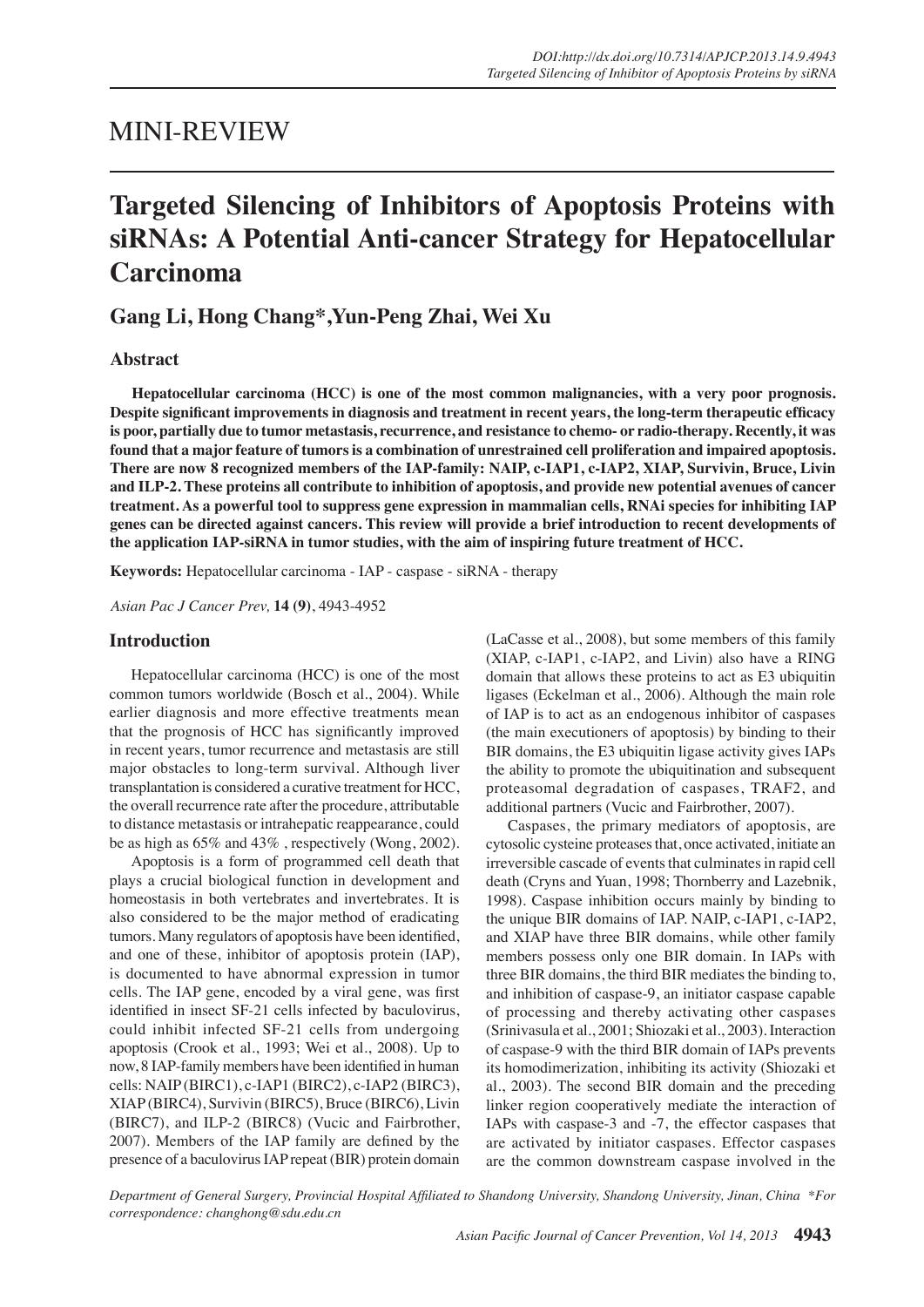## MINI-REVIEW

# Targeted Silencing of Inhibitors of Apoptosis Proteins with **SiRNAs: A Potential Anti-cancer Strategy for Hepatocellular Carcinoma**

## Gang Li, Hong Chang<sup>\*</sup>, Yun-Peng Zhai, Wei Xu

## **Abstract**

**Hepatocellular carcinoma (HCC) is one of the most common malignancies, with a very poor prognosis.**  Despite significant improvements in diagnosis and treatment in recent years, the long-term therapeutic efficacy is poor, partially due to tumor metastasis, recurrence, and resistance to chemo- or radio-therapy. Recently, it was **found that a major feature of tumors is a combination of unrestrained cell proliferation and impaired apoptosis.**  There are now 8 recognized members of the IAP-family: NAIP, c-IAP1, c-IAP2, XIAP, Survivin, Bruce, Livin and ILP-2. These proteins all contribute to inhibition of apoptosis, and provide new potential avenues of cancer treatment. As a powerful tool to suppress gene expression in mammalian cells, RNAi species for inhibiting IAP **genes can be directed against cancers. This review will provide a brief introduction to recent developments of**  the application IAP-siRNA in tumor studies, with the aim of inspiring future treatment of HCC.

**Keywords:** Hepatocellular carcinoma - IAP - caspase - siRNA - therapy

*Asian Pac J Cancer Prev,* **14 (9)**, 4943-4952

## **Introduction**

Hepatocellular carcinoma (HCC) is one of the most common tumors worldwide (Bosch et al., 2004). While earlier diagnosis and more effective treatments mean that the prognosis of HCC has significantly improved in recent years, tumor recurrence and metastasis are still major obstacles to long-term survival. Although liver transplantation is considered a curative treatment for HCC, the overall recurrence rate after the procedure, attributable to distance metastasis or intrahepatic reappearance, could be as high as  $65\%$  and  $43\%$ , respectively (Wong, 2002).

Apoptosis is a form of programmed cell death that plays a crucial biological function in development and homeostasis in both vertebrates and invertebrates. It is also considered to be the major method of eradicating tumors. Many regulators of apoptosis have been identified, and one of these, inhibitor of apoptosis protein (IAP), is documented to have abnormal expression in tumor cells. The IAP gene, encoded by a viral gene, was first identified in insect SF-21 cells infected by baculovirus, could inhibit infected SF-21 cells from undergoing apoptosis (Crook et al., 1993; Wei et al., 2008). Up to now, 8 IAP-family members have been identified in human cells: NAIP (BIRC1), c-IAP1 (BIRC2), c-IAP2 (BIRC3), XIAP (BIRC4), Survivin (BIRC5), Bruce (BIRC6), Livin (BIRC7), and ILP-2 (BIRC8) (Vucic and Fairbrother, 2007). Members of the IAP family are defined by the presence of a baculovirus IAP repeat (BIR) protein domain (LaCasse et al., 2008), but some members of this family  $(XIAP, c-IAP1, c-IAP2, and Livin)$  also have a RING domain that allows these proteins to act as E3 ubiquitin ligases (Eckelman et al., 2006). Although the main role of IAP is to act as an endogenous inhibitor of caspases (the main executioners of apoptosis) by binding to their BIR domains, the E3 ubiquitin ligase activity gives IAPs the ability to promote the ubiquitination and subsequent proteasomal degradation of caspases, TRAF2, and additional partners (Vucic and Fairbrother, 2007).

Caspases, the primary mediators of apoptosis, are cytosolic cysteine proteases that, once activated, initiate an irreversible cascade of events that culminates in rapid cell death (Cryns and Yuan, 1998; Thornberry and Lazebnik, 1998). Caspase inhibition occurs mainly by binding to the unique BIR domains of IAP. NAIP, c-IAP1, c-IAP2, and XIAP have three BIR domains, while other family members possess only one BIR domain. In IAPs with three BIR domains, the third BIR mediates the binding to, and inhibition of caspase-9, an initiator caspase capable of processing and thereby activating other caspases (Srinivasula et al., 2001; Shiozaki et al., 2003). Interaction of caspase-9 with the third BIR domain of IAPs prevents its homodimerization, inhibiting its activity (Shiozaki et al., 2003). The second BIR domain and the preceding linker region cooperatively mediate the interaction of IAPs with caspase-3 and -7, the effector caspases that are activated by initiator caspases. Effector caspases are the common downstream caspase involved in the

Department of General Surgery, Provincial Hospital Affiliated to Shandong University, Shandong University, Jinan, China \*For  $correspondence: changing@sdu.edu.cn$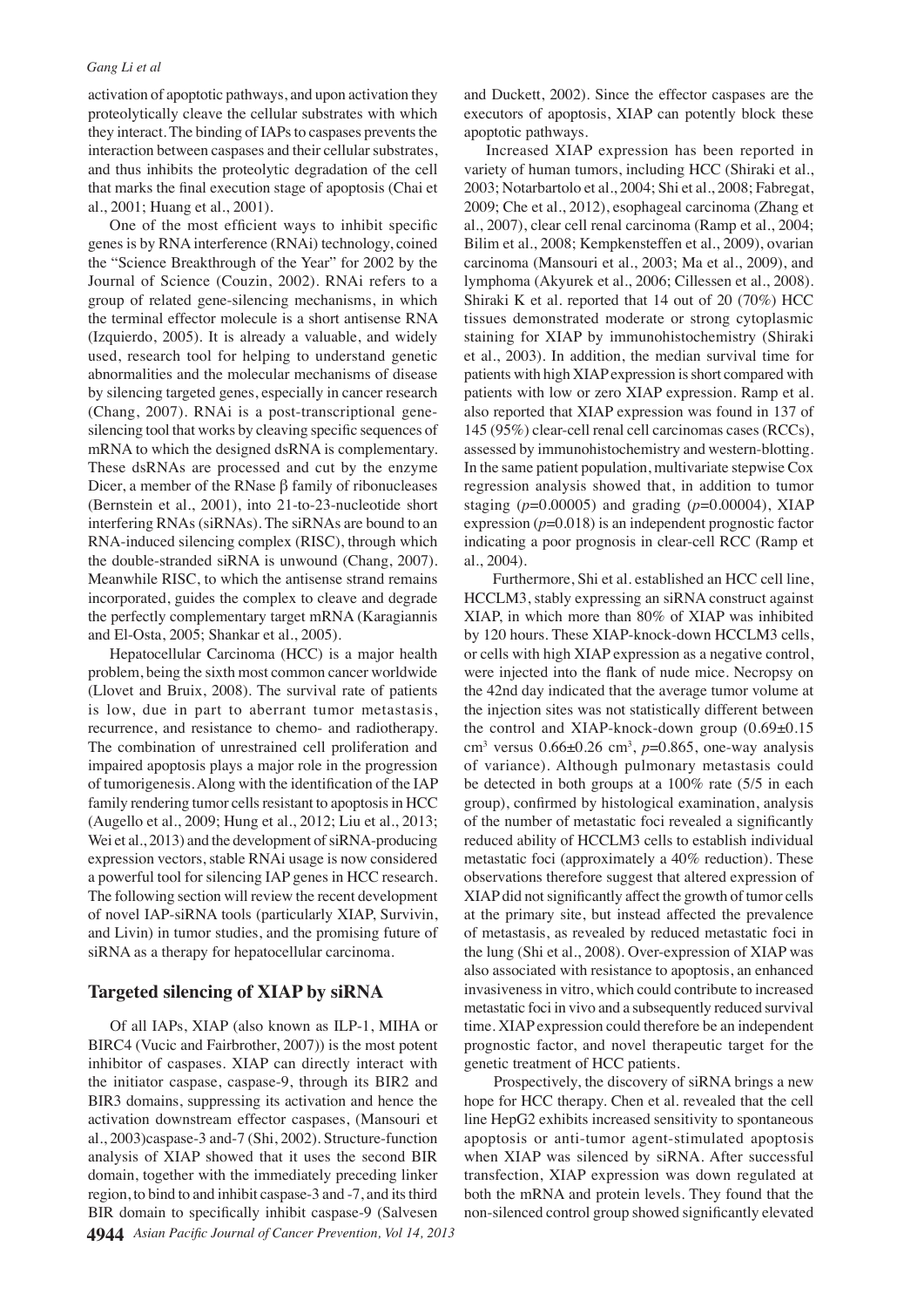activation of apoptotic pathways, and upon activation they proteolytically cleave the cellular substrates with which they interact. The binding of IAPs to caspases prevents the interaction between caspases and their cellular substrates, and thus inhibits the proteolytic degradation of the cell that marks the final execution stage of apoptosis (Chai et al., 2001; Huang et al., 2001).

One of the most efficient ways to inhibit specific genes is by RNA interference (RNAi) technology, coined the "Science Breakthrough of the Year" for 2002 by the Journal of Science (Couzin, 2002). RNAi refers to a group of related gene-silencing mechanisms, in which the terminal effector molecule is a short antisense RNA  $(Izquierdo, 2005)$ . It is already a valuable, and widely used, research tool for helping to understand genetic abnormalities and the molecular mechanisms of disease by silencing targeted genes, especially in cancer research (Chang, 2007). RNAi is a post-transcriptional genesilencing tool that works by cleaving specific sequences of mRNA to which the designed dsRNA is complementary. These dsRNAs are processed and cut by the enzyme Dicer, a member of the RNase  $\beta$  family of ribonucleases (Bernstein et al.,  $2001$ ), into  $21$ -to- $23$ -nucleotide short interfering RNAs (siRNAs). The siRNAs are bound to an RNA-induced silencing complex (RISC), through which the double-stranded siRNA is unwound (Chang, 2007). Meanwhile RISC, to which the antisense strand remains incorporated, guides the complex to cleave and degrade the perfectly complementary target mRNA (Karagiannis and El-Osta, 2005; Shankar et al., 2005).

Hepatocellular Carcinoma (HCC) is a major health problem, being the sixth most common cancer worldwide (Llovet and Bruix, 2008). The survival rate of patients is low, due in part to aberrant tumor metastasis, recurrence, and resistance to chemo- and radiotherapy. The combination of unrestrained cell proliferation and impaired apoptosis plays a major role in the progression of tumorigenesis. Along with the identification of the IAP family rendering tumor cells resistant to apoptosis in HCC (Augello et al., 2009; Hung et al., 2012; Liu et al., 2013; Wei et al.,  $2013$ ) and the development of siRNA-producing expression vectors, stable RNAi usage is now considered a powerful tool for silencing IAP genes in HCC research. The following section will review the recent development of novel IAP-siRNA tools (particularly XIAP, Survivin, and Livin) in tumor studies, and the promising future of siRNA as a therapy for hepatocellular carcinoma.

## **Targeted silencing of XIAP by siRNA**

**4944** Asian Pacific Journal of Cancer Prevention, Vol 14, 2013 Of all IAPs, XIAP (also known as ILP-1, MIHA or BIRC4 (Vucic and Fairbrother, 2007)) is the most potent inhibitor of caspases. XIAP can directly interact with the initiator caspase, caspase-9, through its BIR2 and BIR3 domains, suppressing its activation and hence the activation downstream effector caspases, (Mansouri et al., 2003)caspase-3 and-7 (Shi, 2002). Structure-function analysis of XIAP showed that it uses the second BIR domain, together with the immediately preceding linker region, to bind to and inhibit caspase-3 and -7, and its third BIR domain to specifically inhibit caspase-9 (Salvesen

and Duckett, 2002). Since the effector caspases are the executors of apoptosis, XIAP can potently block these apoptotic pathways.

Increased XIAP expression has been reported in variety of human tumors, including HCC (Shiraki et al., 2003; Notarbartolo et al., 2004; Shi et al., 2008; Fabregat, 2009; Che et al., 2012), esophageal carcinoma (Zhang et al., 2007), clear cell renal carcinoma (Ramp et al., 2004; Bilim et al., 2008; Kempkensteffen et al., 2009), ovarian carcinoma (Mansouri et al., 2003; Ma et al., 2009), and lymphoma (Akyurek et al., 2006; Cillessen et al., 2008). Shiraki K et al. reported that 14 out of 20  $(70\%)$  HCC tissues demonstrated moderate or strong cytoplasmic staining for XIAP by immunohistochemistry (Shiraki et al., 2003). In addition, the median survival time for patients with high XIAP expression is short compared with patients with low or zero XIAP expression. Ramp et al. also reported that XIAP expression was found in 137 of 145 (95%) clear-cell renal cell carcinomas cases (RCCs), assessed by immunohistochemistry and western-blotting. In the same patient population, multivariate stepwise Cox regression analysis showed that, in addition to tumor staging (*p*=0.00005) and grading (*p*=0.00004), XIAP expression  $(p=0.018)$  is an independent prognostic factor indicating a poor prognosis in clear-cell RCC (Ramp et al., 2004).

Furthermore, Shi et al. established an HCC cell line, HCCLM3, stably expressing an siRNA construct against XIAP, in which more than  $80\%$  of XIAP was inhibited by 120 hours. These XIAP-knock-down HCCLM3 cells, or cells with high XIAP expression as a negative control, were injected into the flank of nude mice. Necropsy on the 42nd day indicated that the average tumor volume at the injection sites was not statistically different between the control and XIAP-knock-down group  $(0.69\pm0.15$ cm<sup>3</sup> versus  $0.66 \pm 0.26$  cm<sup>3</sup>,  $p = 0.865$ , one-way analysis of variance). Although pulmonary metastasis could be detected in both groups at a  $100\%$  rate  $(5/5)$  in each group), confirmed by histological examination, analysis of the number of metastatic foci revealed a significantly reduced ability of HCCLM3 cells to establish individual metastatic foci (approximately a  $40\%$  reduction). These observations therefore suggest that altered expression of XIAP did not significantly affect the growth of tumor cells at the primary site, but instead affected the prevalence of metastasis, as revealed by reduced metastatic foci in the lung (Shi et al., 2008). Over-expression of XIAP was also associated with resistance to apoptosis, an enhanced invasiveness in vitro, which could contribute to increased metastatic foci in vivo and a subsequently reduced survival time. XIAP expression could therefore be an independent prognostic factor, and novel therapeutic target for the genetic treatment of HCC patients.

Prospectively, the discovery of siRNA brings a new hope for HCC therapy. Chen et al. revealed that the cell line HepG2 exhibits increased sensitivity to spontaneous apoptosis or anti-tumor agent-stimulated apoptosis when XIAP was silenced by siRNA. After successful transfection, XIAP expression was down regulated at both the mRNA and protein levels. They found that the non-silenced control group showed significantly elevated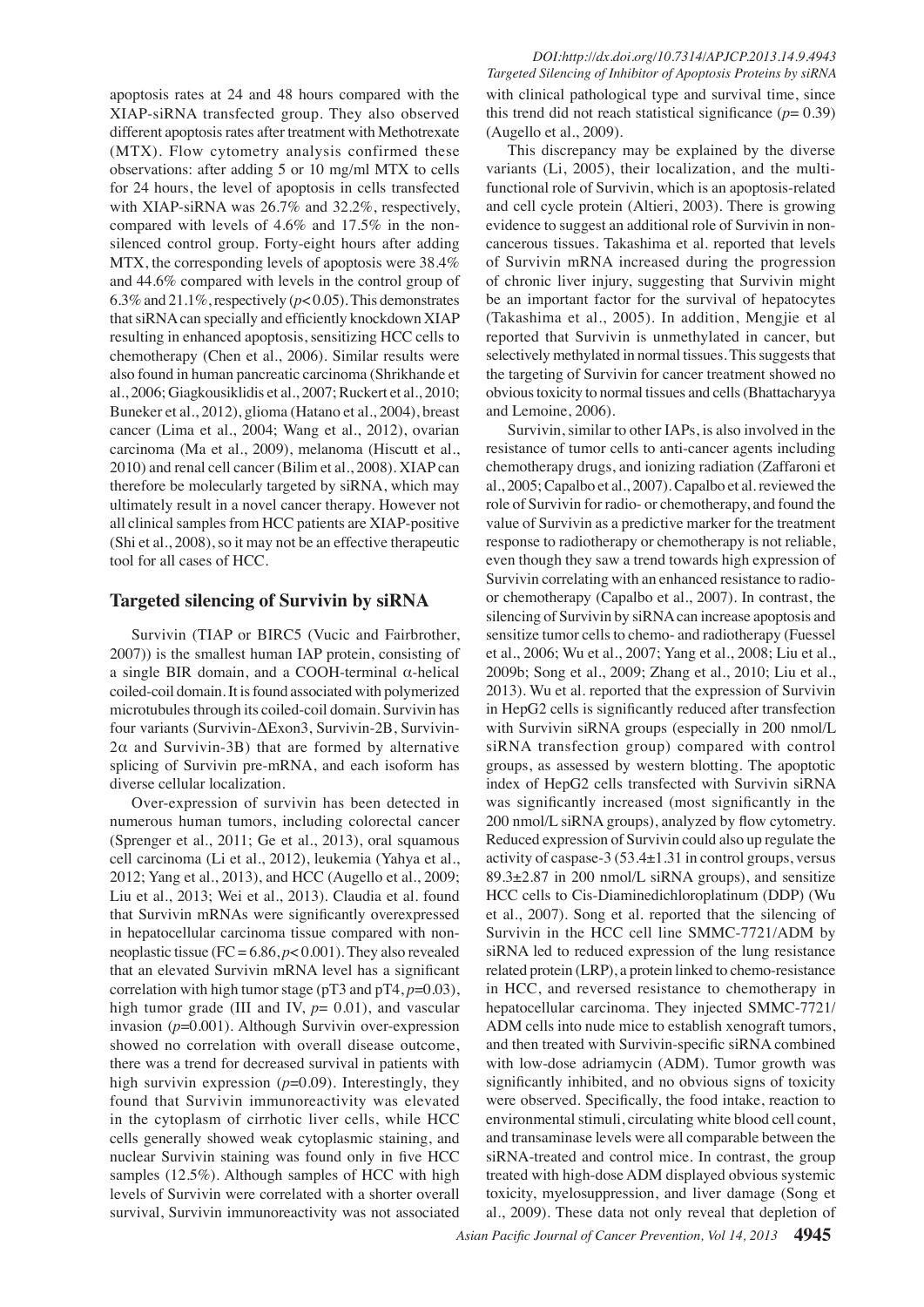apoptosis rates at 24 and 48 hours compared with the XIAP-siRNA transfected group. They also observed different apoptosis rates after treatment with Methotrexate  $(MTX)$ . Flow cytometry analysis confirmed these observations: after adding 5 or 10 mg/ml MTX to cells for 24 hours, the level of apoptosis in cells transfected with XIAP-siRNA was  $26.7\%$  and  $32.2\%$ , respectively, compared with levels of 4.6% and 17.5% in the nonsilenced control group. Forty-eight hours after adding MTX, the corresponding levels of apoptosis were  $38.4\%$ and 44.6% compared with levels in the control group of 6.3% and 21.1%, respectively ( $p$ < 0.05). This demonstrates that siRNA can specially and efficiently knockdown XIAP resulting in enhanced apoptosis, sensitizing HCC cells to chemotherapy (Chen et al., 2006). Similar results were also found in human pancreatic carcinoma (Shrikhande et al., 2006; Giagkousiklidis et al., 2007; Ruckert et al., 2010; Buneker et al., 2012), glioma (Hatano et al., 2004), breast cancer (Lima et al., 2004; Wang et al., 2012), ovarian carcinoma (Ma et al., 2009), melanoma (Hiscutt et al., 2010) and renal cell cancer (Bilim et al., 2008). XIAP can therefore be molecularly targeted by siRNA, which may ultimately result in a novel cancer therapy. However not all clinical samples from HCC patients are XIAP-positive (Shi et al.,  $2008$ ), so it may not be an effective therapeutic tool for all cases of HCC.

## **Targeted silencing of Survivin by siRNA**

Survivin (TIAP or BIRC5 (Vucic and Fairbrother, 2007)) is the smallest human IAP protein, consisting of a single BIR domain, and a COOH-terminal  $\alpha$ -helical coiled-coil domain. It is found associated with polymerized microtubules through its coiled-coil domain. Survivin has four variants (Survivin-∆Exon3, Survivin-2B, Survivin- $2\alpha$  and Survivin-3B) that are formed by alternative splicing of Survivin pre-mRNA, and each isoform has diverse cellular localization.

Over-expression of survivin has been detected in numerous human tumors, including colorectal cancer (Sprenger et al., 2011; Ge et al., 2013), oral squamous cell carcinoma (Li et al., 2012), leukemia (Yahya et al., 2012; Yang et al., 2013), and HCC (Augello et al., 2009; Liu et al., 2013; Wei et al., 2013). Claudia et al. found that Survivin mRNAs were significantly overexpressed in hepatocellular carcinoma tissue compared with nonneoplastic tissue (FC =  $6.86$ ,  $p < 0.001$ ). They also revealed that an elevated Survivin mRNA level has a significant correlation with high tumor stage (pT3 and pT4, *p*=0.03), high tumor grade (III and IV,  $p = 0.01$ ), and vascular invasion ( $p=0.001$ ). Although Survivin over-expression showed no correlation with overall disease outcome, there was a trend for decreased survival in patients with high survivin expression ( $p=0.09$ ). Interestingly, they found that Survivin immunoreactivity was elevated in the cytoplasm of cirrhotic liver cells, while HCC cells generally showed weak cytoplasmic staining, and nuclear Survivin staining was found only in five HCC samples  $(12.5\%)$ . Although samples of HCC with high levels of Survivin were correlated with a shorter overall survival, Survivin immunoreactivity was not associated

 *DOI:http://dx.doi.org/10.7314/APJCP.2013.14.9.4943 Targeted Silencing of Inhibitor of Apoptosis Proteins by siRNA* with clinical pathological type and survival time, since this trend did not reach statistical significance  $(p= 0.39)$ (Augello et al., 2009).

This discrepancy may be explained by the diverse variants (Li, 2005), their localization, and the multifunctional role of Survivin, which is an apoptosis-related and cell cycle protein (Altieri, 2003). There is growing evidence to suggest an additional role of Survivin in noncancerous tissues. Takashima et al. reported that levels of Survivin mRNA increased during the progression of chronic liver injury, suggesting that Survivin might be an important factor for the survival of hepatocytes (Takashima et al., 2005). In addition, Mengjie et al reported that Survivin is unmethylated in cancer, but selectively methylated in normal tissues. This suggests that the targeting of Survivin for cancer treatment showed no obvious toxicity to normal tissues and cells (Bhattacharyya and Lemoine, 2006).

Survivin, similar to other IAPs, is also involved in the resistance of tumor cells to anti-cancer agents including chemotherapy drugs, and ionizing radiation (Zaffaroni et al., 2005; Capalbo et al., 2007). Capalbo et al. reviewed the role of Survivin for radio- or chemotherapy, and found the value of Survivin as a predictive marker for the treatment response to radiotherapy or chemotherapy is not reliable, even though they saw a trend towards high expression of Survivin correlating with an enhanced resistance to radioor chemotherapy (Capalbo et al., 2007). In contrast, the silencing of Survivin by siRNA can increase apoptosis and sensitize tumor cells to chemo- and radiotherapy (Fuessel et al., 2006; Wu et al., 2007; Yang et al., 2008; Liu et al., 2009b; Song et al., 2009; Zhang et al., 2010; Liu et al., 2013). Wu et al. reported that the expression of Survivin in HepG2 cells is significantly reduced after transfection with Survivin siRNA groups (especially in 200 nmol/L siRNA transfection group) compared with control groups, as assessed by western blotting. The apoptotic index of HepG2 cells transfected with Survivin siRNA was significantly increased (most significantly in the 200 nmol/L siRNA groups), analyzed by flow cytometry. Reduced expression of Survivin could also up regulate the activity of caspase- $3(53.4\pm1.31)$  in control groups, versus  $89.3 \pm 2.87$  in 200 nmol/L siRNA groups), and sensitize HCC cells to Cis-Diaminedichloroplatinum (DDP) (Wu et al., 2007). Song et al. reported that the silencing of Survivin in the HCC cell line SMMC-7721/ADM by siRNA led to reduced expression of the lung resistance related protein (LRP), a protein linked to chemo-resistance in HCC, and reversed resistance to chemotherapy in hepatocellular carcinoma. They injected SMMC-7721/ ADM cells into nude mice to establish xenograft tumors, and then treated with Survivin-specific siRNA combined with low-dose adriamycin (ADM). Tumor growth was significantly inhibited, and no obvious signs of toxicity were observed. Specifically, the food intake, reaction to environmental stimuli, circulating white blood cell count, and transaminase levels were all comparable between the siRNA-treated and control mice. In contrast, the group treated with high-dose ADM displayed obvious systemic toxicity, myelosuppression, and liver damage (Song et al., 2009). These data not only reveal that depletion of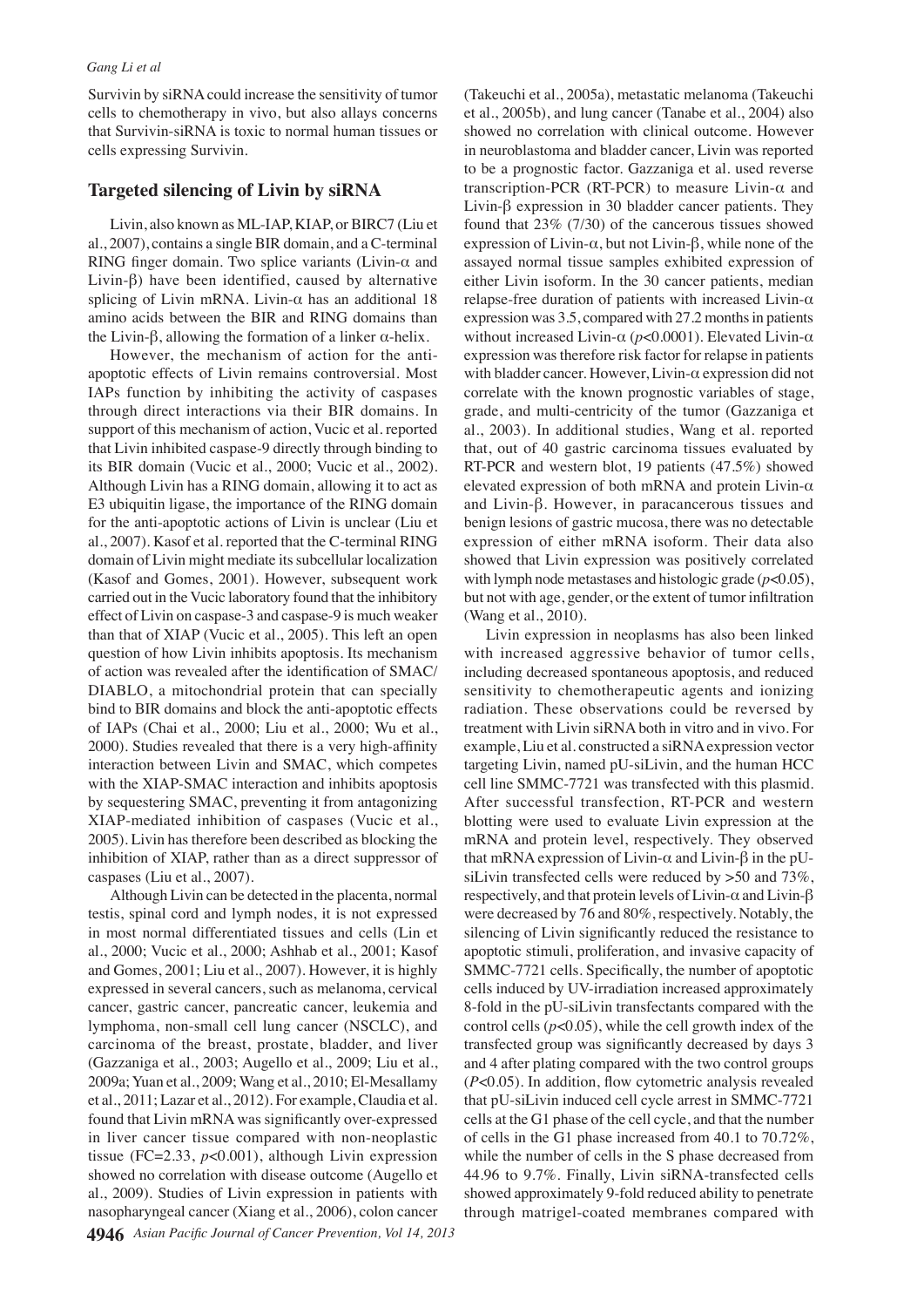Survivin by siRNA could increase the sensitivity of tumor cells to chemotherapy in vivo, but also allays concerns that Survivin-siRNA is toxic to normal human tissues or cells expressing Survivin.

## **Targeted silencing of Livin by siRNA**

Livin, also known as ML-IAP, KIAP, or BIRC7 (Liu et al., 2007), contains a single BIR domain, and a C-terminal RING finger domain. Two splice variants (Livin- $\alpha$  and Livin- $\beta$ ) have been identified, caused by alternative splicing of Livin mRNA. Livin- $\alpha$  has an additional 18 amino acids between the BIR and RING domains than the Livin- $\beta$ , allowing the formation of a linker  $\alpha$ -helix.

However, the mechanism of action for the antiapoptotic effects of Livin remains controversial. Most IAPs function by inhibiting the activity of caspases through direct interactions via their BIR domains. In support of this mechanism of action, Vucic et al. reported that Livin inhibited caspase-9 directly through binding to its BIR domain (Vucic et al., 2000; Vucic et al., 2002). Although Livin has a RING domain, allowing it to act as E3 ubiquitin ligase, the importance of the RING domain for the anti-apoptotic actions of Livin is unclear (Liu et al., 2007). Kasof et al. reported that the C-terminal RING domain of Livin might mediate its subcellular localization (Kasof and Gomes, 2001). However, subsequent work carried out in the Vucic laboratory found that the inhibitory effect of Livin on caspase-3 and caspase-9 is much weaker than that of XIAP (Vucic et al., 2005). This left an open question of how Livin inhibits apoptosis. Its mechanism of action was revealed after the identification of SMAC/ DIABLO, a mitochondrial protein that can specially bind to BIR domains and block the anti-apoptotic effects of IAPs (Chai et al., 2000; Liu et al., 2000; Wu et al., 2000). Studies revealed that there is a very high-affinity interaction between Livin and SMAC, which competes with the XIAP-SMAC interaction and inhibits apoptosis by sequestering SMAC, preventing it from antagonizing XIAP-mediated inhibition of caspases (Vucic et al., 2005). Livin has therefore been described as blocking the inhibition of XIAP, rather than as a direct suppressor of caspases (Liu et al., 2007).

Although Livin can be detected in the placenta, normal testis, spinal cord and lymph nodes, it is not expressed in most normal differentiated tissues and cells (Lin et al., 2000; Vucic et al., 2000; Ashhab et al., 2001; Kasof and Gomes, 2001; Liu et al., 2007). However, it is highly expressed in several cancers, such as melanoma, cervical cancer, gastric cancer, pancreatic cancer, leukemia and lymphoma, non-small cell lung cancer (NSCLC), and carcinoma of the breast, prostate, bladder, and liver (Gazzaniga et al., 2003; Augello et al., 2009; Liu et al., 2009a; Yuan et al., 2009; Wang et al., 2010; El-Mesallamy et al., 2011; Lazar et al., 2012). For example, Claudia et al. found that Livin mRNA was significantly over-expressed in liver cancer tissue compared with non-neoplastic tissue (FC=2.33,  $p<0.001$ ), although Livin expression showed no correlation with disease outcome (Augello et al., 2009). Studies of Livin expression in patients with nasopharyngeal cancer (Xiang et al., 2006), colon cancer 4946 Asian Pacific Journal of Cancer Prevention, Vol 14, 2013

(Takeuchi et al., 2005a), metastatic melanoma (Takeuchi et al., 2005b), and lung cancer (Tanabe et al., 2004) also showed no correlation with clinical outcome. However in neuroblastoma and bladder cancer, Livin was reported to be a prognostic factor. Gazzaniga et al. used reverse transcription-PCR (RT-PCR) to measure Livin- $\alpha$  and Livin- $\beta$  expression in 30 bladder cancer patients. They found that  $23\%$  (7/30) of the cancerous tissues showed expression of Livin- $\alpha$ , but not Livin- $\beta$ , while none of the assayed normal tissue samples exhibited expression of either Livin isoform. In the 30 cancer patients, median relapse-free duration of patients with increased Livin- $\alpha$ expression was 3.5, compared with 27.2 months in patients without increased Livin- $\alpha$  ( $p<0.0001$ ). Elevated Livin- $\alpha$ expression was therefore risk factor for relapse in patients with bladder cancer. However, Livin- $\alpha$  expression did not correlate with the known prognostic variables of stage, grade, and multi-centricity of the tumor (Gazzaniga et al., 2003). In additional studies, Wang et al. reported that, out of 40 gastric carcinoma tissues evaluated by RT-PCR and western blot, 19 patients (47.5%) showed elevated expression of both mRNA and protein Livin- $\alpha$ and Livin- $\beta$ . However, in paracancerous tissues and benign lesions of gastric mucosa, there was no detectable expression of either mRNA isoform. Their data also showed that Livin expression was positively correlated with lymph node metastases and histologic grade  $(p<0.05)$ , but not with age, gender, or the extent of tumor infiltration (Wang et al., 2010).

Livin expression in neoplasms has also been linked with increased aggressive behavior of tumor cells, including decreased spontaneous apoptosis, and reduced sensitivity to chemotherapeutic agents and ionizing radiation. These observations could be reversed by treatment with Livin siRNA both in vitro and in vivo. For example, Liu et al. constructed a siRNA expression vector targeting Livin, named pU-siLivin, and the human HCC cell line SMMC-7721 was transfected with this plasmid. After successful transfection, RT-PCR and western blotting were used to evaluate Livin expression at the mRNA and protein level, respectively. They observed that mRNA expression of Livin- $\alpha$  and Livin- $\beta$  in the pUsiLivin transfected cells were reduced by  $>50$  and 73%, respectively, and that protein levels of Livin- $\alpha$  and Livin- $\beta$ were decreased by 76 and 80%, respectively. Notably, the silencing of Livin significantly reduced the resistance to apoptotic stimuli, proliferation, and invasive capacity of SMMC-7721 cells. Specifically, the number of apoptotic cells induced by UV-irradiation increased approximately 8-fold in the pU-siLivin transfectants compared with the control cells  $(p<0.05)$ , while the cell growth index of the transfected group was significantly decreased by days 3 and 4 after plating compared with the two control groups  $(P<0.05)$ . In addition, flow cytometric analysis revealed that pU-siLivin induced cell cycle arrest in SMMC-7721 cells at the G1 phase of the cell cycle, and that the number of cells in the G1 phase increased from 40.1 to 70.72%, while the number of cells in the S phase decreased from 44.96 to 9.7%. Finally, Livin siRNA-transfected cells showed approximately 9-fold reduced ability to penetrate through matrigel-coated membranes compared with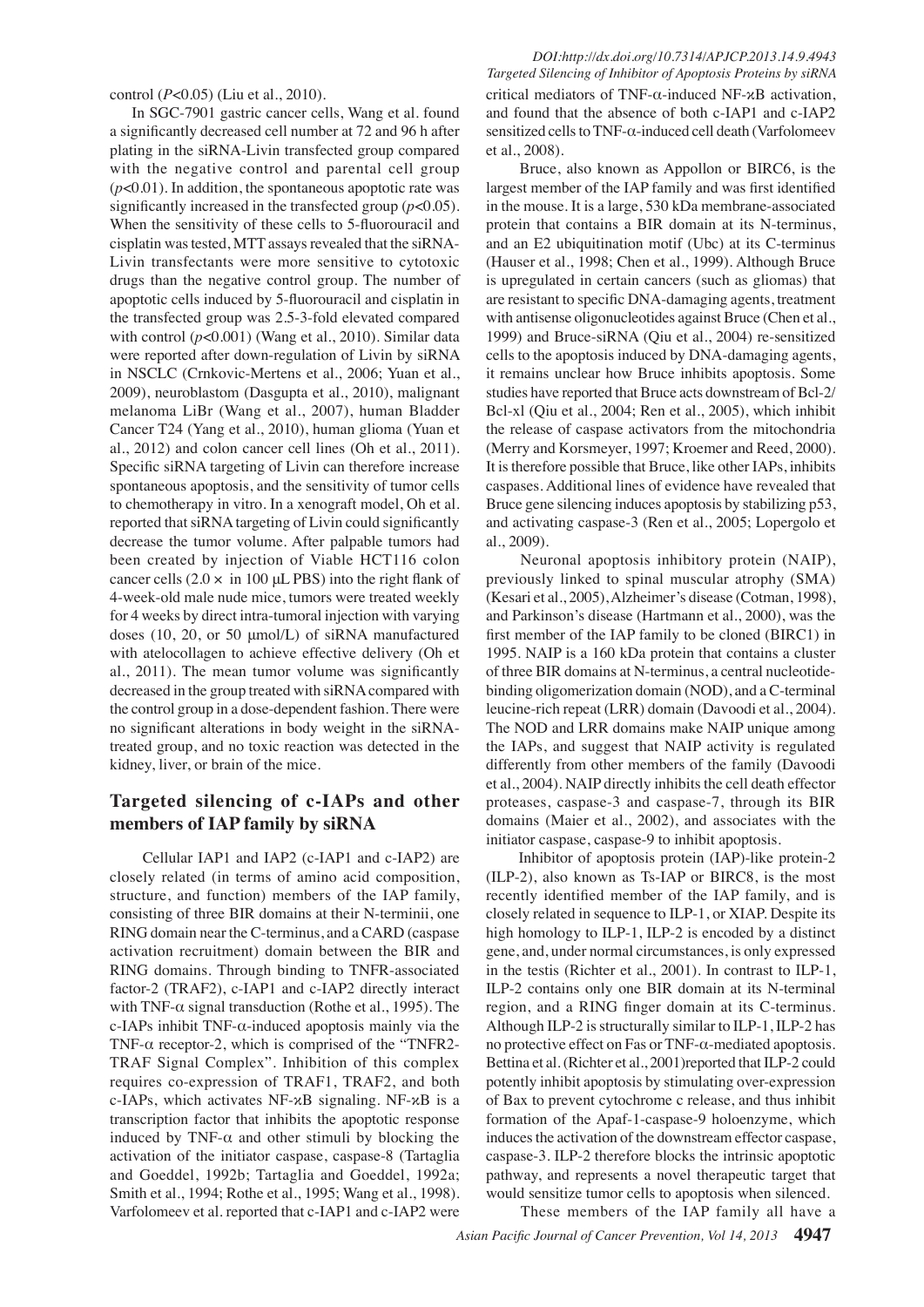control  $(P<0.05)$  (Liu et al., 2010).

In SGC-7901 gastric cancer cells, Wang et al. found a significantly decreased cell number at 72 and 96 h after plating in the siRNA-Livin transfected group compared with the negative control and parental cell group  $(p<0.01)$ . In addition, the spontaneous apoptotic rate was significantly increased in the transfected group  $(p<0.05)$ . When the sensitivity of these cells to 5-fluorouracil and  $Cisplatin$  was tested, MTT assays revealed that the siRNA-Livin transfectants were more sensitive to cytotoxic drugs than the negative control group. The number of apoptotic cells induced by 5-fluorouracil and cisplatin in the transfected group was 2.5-3-fold elevated compared with control  $(p<0.001)$  (Wang et al., 2010). Similar data were reported after down-regulation of Livin by siRNA in NSCLC (Crnkovic-Mertens et al., 2006; Yuan et al., 2009), neuroblastom (Dasgupta et al., 2010), malignant melanoma LiBr (Wang et al., 2007), human Bladder Cancer T24 (Yang et al., 2010), human glioma (Yuan et al., 2012) and colon cancer cell lines (Oh et al., 2011). Specific siRNA targeting of Livin can therefore increase spontaneous apoptosis, and the sensitivity of tumor cells to chemotherapy in vitro. In a xenograft model, Oh et al. reported that siRNA targeting of Livin could significantly decrease the tumor volume. After palpable tumors had been created by injection of Viable HCT116 colon cancer cells  $(2.0 \times \text{in } 100 \mu L$  PBS) into the right flank of 4-week-old male nude mice, tumors were treated weekly for 4 weeks by direct intra-tumoral injection with varying doses  $(10, 20, \text{ or } 50 \text{ µmol/L})$  of siRNA manufactured with atelocollagen to achieve effective delivery (Oh et al., 2011). The mean tumor volume was significantly decreased in the group treated with siRNA compared with the control group in a dose-dependent fashion. There were no significant alterations in body weight in the siRNAtreated group, and no toxic reaction was detected in the kidney, liver, or brain of the mice.

## Targeted silencing of c-IAPs and other members of IAP family by siRNA

Cellular IAP1 and IAP2 (c-IAP1 and c-IAP2) are closely related (in terms of amino acid composition, structure, and function) members of the IAP family, consisting of three BIR domains at their N-terminii, one RING domain near the C-terminus, and a CARD (caspase activation recruitment) domain between the BIR and RING domains. Through binding to TNFR-associated  $factor-2$  (TRAF2),  $c$ -IAP1 and  $c$ -IAP2 directly interact with TNF- $\alpha$  signal transduction (Rothe et al., 1995). The c-IAPs inhibit TNF- $\alpha$ -induced apoptosis mainly via the TNF- $\alpha$  receptor-2, which is comprised of the "TNFR2-TRAF Signal Complex". Inhibition of this complex requires co-expression of TRAF1, TRAF2, and both c-IAPs, which activates NF- $\alpha$ B signaling. NF- $\alpha$ B is a transcription factor that inhibits the apoptotic response induced by TNF- $\alpha$  and other stimuli by blocking the activation of the initiator caspase, caspase-8 (Tartaglia and Goeddel, 1992b; Tartaglia and Goeddel, 1992a; Smith et al., 1994; Rothe et al., 1995; Wang et al., 1998). Varfolomeev et al. reported that c-IAP1 and c-IAP2 were

 *DOI:http://dx.doi.org/10.7314/APJCP.2013.14.9.4943 Targeted Silencing of Inhibitor of Apoptosis Proteins by siRNA* critical mediators of TNF- $\alpha$ -induced NF- $\alpha$ B activation, and found that the absence of both c-IAP1 and c-IAP2 sensitized cells to TNF- $\alpha$ -induced cell death (Varfolomeev et al., 2008).

 Bruce, also known as Appollon or BIRC6, is the largest member of the IAP family and was first identified in the mouse. It is a large, 530 kDa membrane-associated protein that contains a BIR domain at its N-terminus, and an E2 ubiquitination motif (Ubc) at its C-terminus (Hauser et al., 1998; Chen et al., 1999). Although Bruce is upregulated in certain cancers (such as gliomas) that are resistant to specific DNA-damaging agents, treatment with antisense oligonucleotides against Bruce (Chen et al., 1999) and Bruce-siRNA (Qiu et al., 2004) re-sensitized cells to the apoptosis induced by DNA-damaging agents, it remains unclear how Bruce inhibits apoptosis. Some studies have reported that Bruce acts downstream of Bcl-2/ Bcl-xl (Qiu et al., 2004; Ren et al., 2005), which inhibit the release of caspase activators from the mitochondria (Merry and Korsmeyer, 1997; Kroemer and Reed, 2000). It is therefore possible that Bruce, like other IAPs, inhibits caspases. Additional lines of evidence have revealed that Bruce gene silencing induces apoptosis by stabilizing p53, and activating caspase-3 (Ren et al., 2005; Lopergolo et al., 2009).

Neuronal apoptosis inhibitory protein (NAIP), previously linked to spinal muscular atrophy (SMA) (Kesari et al., 2005), Alzheimer's disease (Cotman, 1998), and Parkinson's disease (Hartmann et al., 2000), was the first member of the IAP family to be cloned (BIRC1) in 1995. NAIP is a 160 kDa protein that contains a cluster of three BIR domains at N-terminus, a central nucleotidebinding oligomerization domain (NOD), and a C-terminal leucine-rich repeat (LRR) domain (Davoodi et al., 2004). The NOD and LRR domains make NAIP unique among the IAPs, and suggest that NAIP activity is regulated differently from other members of the family (Davoodi et al., 2004). NAIP directly inhibits the cell death effector proteases, caspase-3 and caspase-7, through its BIR domains (Maier et al., 2002), and associates with the initiator caspase, caspase-9 to inhibit apoptosis.

 Inhibitor of apoptosis protein (IAP)-like protein-2  $(ILP-2)$ , also known as Ts-IAP or BIRC8, is the most recently identified member of the IAP family, and is closely related in sequence to ILP-1, or XIAP. Despite its high homology to ILP-1, ILP-2 is encoded by a distinct gene, and, under normal circumstances, is only expressed in the testis (Richter et al., 2001). In contrast to ILP-1, ILP-2 contains only one BIR domain at its N-terminal region, and a RING finger domain at its C-terminus. Although ILP-2 is structurally similar to ILP-1, ILP-2 has no protective effect on Fas or TNF- $\alpha$ -mediated apoptosis. Bettina et al. (Richter et al., 2001) reported that ILP-2 could potently inhibit apoptosis by stimulating over-expression of Bax to prevent cytochrome c release, and thus inhibit formation of the Apaf-1-caspase-9 holoenzyme, which induces the activation of the downstream effector caspase, caspase-3. ILP-2 therefore blocks the intrinsic apoptotic pathway, and represents a novel therapeutic target that would sensitize tumor cells to apoptosis when silenced.

Asian Pacific Journal of Cancer Prevention, Vol 14, 2013 4947 These members of the IAP family all have a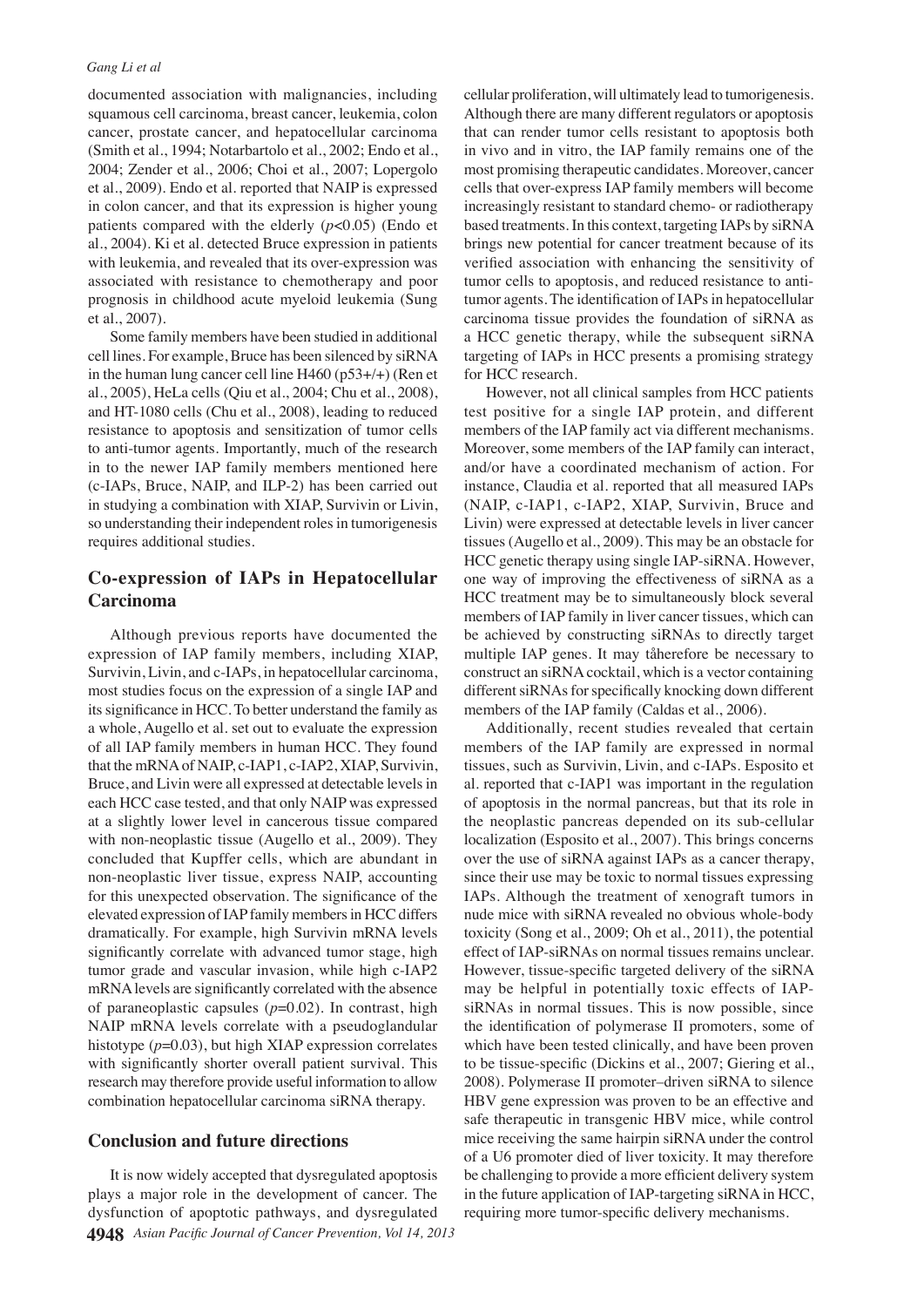documented association with malignancies, including squamous cell carcinoma, breast cancer, leukemia, colon cancer, prostate cancer, and hepatocellular carcinoma (Smith et al., 1994; Notarbartolo et al., 2002; Endo et al., 2004; Zender et al., 2006; Choi et al., 2007; Lopergolo et al., 2009). Endo et al. reported that NAIP is expressed in colon cancer, and that its expression is higher young patients compared with the elderly  $(p<0.05)$  (Endo et al., 2004). Ki et al. detected Bruce expression in patients with leukemia, and revealed that its over-expression was associated with resistance to chemotherapy and poor prognosis in childhood acute myeloid leukemia (Sung et al., 2007).

Some family members have been studied in additional cell lines. For example, Bruce has been silenced by siRNA in the human lung cancer cell line  $H460$  (p53+/+) (Ren et al., 2005), HeLa cells (Qiu et al., 2004; Chu et al., 2008), and HT-1080 cells (Chu et al.,  $2008$ ), leading to reduced resistance to apoptosis and sensitization of tumor cells to anti-tumor agents. Importantly, much of the research in to the newer IAP family members mentioned here (c-IAPs, Bruce, NAIP, and ILP-2) has been carried out in studying a combination with XIAP, Survivin or Livin, so understanding their independent roles in tumorigenesis requires additional studies.

## Co-expression of IAPs in Hepatocellular **Carcinoma**

Although previous reports have documented the expression of IAP family members, including XIAP, Survivin, Livin, and c-IAPs, in hepatocellular carcinoma, most studies focus on the expression of a single IAP and its significance in HCC. To better understand the family as a whole, Augello et al. set out to evaluate the expression of all IAP family members in human HCC. They found that the mRNA of NAIP, c-IAP1, c-IAP2, XIAP, Survivin, Bruce, and Livin were all expressed at detectable levels in each HCC case tested, and that only NAIP was expressed at a slightly lower level in cancerous tissue compared with non-neoplastic tissue (Augello et al., 2009). They concluded that Kupffer cells, which are abundant in non-neoplastic liver tissue, express NAIP, accounting for this unexpected observation. The significance of the elevated expression of IAP family members in HCC differs dramatically. For example, high Survivin mRNA levels significantly correlate with advanced tumor stage, high tumor grade and vascular invasion, while high c-IAP2 mRNA levels are significantly correlated with the absence of paraneoplastic capsules  $(p=0.02)$ . In contrast, high NAIP mRNA levels correlate with a pseudoglandular histotype  $(p=0.03)$ , but high XIAP expression correlates with significantly shorter overall patient survival. This research may therefore provide useful information to allow combination hepatocellular carcinoma siRNA therapy.

## **Conclusion and future directions**

**4948** Asian Pacific Journal of Cancer Prevention, Vol 14, 2013 It is now widely accepted that dysregulated apoptosis plays a major role in the development of cancer. The dysfunction of apoptotic pathways, and dysregulated

cellular proliferation, will ultimately lead to tumorigenesis. Although there are many different regulators or apoptosis that can render tumor cells resistant to apoptosis both in vivo and in vitro, the IAP family remains one of the most promising therapeutic candidates. Moreover, cancer cells that over-express IAP family members will become increasingly resistant to standard chemo- or radiotherapy based treatments. In this context, targeting IAPs by siRNA brings new potential for cancer treatment because of its verified association with enhancing the sensitivity of tumor cells to apoptosis, and reduced resistance to antitumor agents. The identification of IAPs in hepatocellular carcinoma tissue provides the foundation of siRNA as a HCC genetic therapy, while the subsequent siRNA targeting of IAPs in HCC presents a promising strategy for HCC research.

However, not all clinical samples from HCC patients test positive for a single IAP protein, and different members of the IAP family act via different mechanisms. Moreover, some members of the IAP family can interact, and/or have a coordinated mechanism of action. For instance, Claudia et al. reported that all measured IAPs (NAIP, c-IAP1, c-IAP2, XIAP, Survivin, Bruce and Livin) were expressed at detectable levels in liver cancer tissues (Augello et al., 2009). This may be an obstacle for HCC genetic therapy using single IAP-siRNA. However, one way of improving the effectiveness of siRNA as a HCC treatment may be to simultaneously block several members of IAP family in liver cancer tissues, which can be achieved by constructing siRNAs to directly target multiple IAP genes. It may tåherefore be necessary to construct an siRNA cocktail, which is a vector containing different siRNAs for specifically knocking down different members of the IAP family (Caldas et al., 2006).

Additionally, recent studies revealed that certain members of the IAP family are expressed in normal tissues, such as Survivin, Livin, and c-IAPs. Esposito et al. reported that c-IAP1 was important in the regulation of apoptosis in the normal pancreas, but that its role in the neoplastic pancreas depended on its sub-cellular localization (Esposito et al., 2007). This brings concerns over the use of siRNA against IAPs as a cancer therapy, since their use may be toxic to normal tissues expressing IAPs. Although the treatment of xenograft tumors in nude mice with siRNA revealed no obvious whole-body toxicity (Song et al., 2009; Oh et al., 2011), the potential effect of IAP-siRNAs on normal tissues remains unclear. However, tissue-specific targeted delivery of the siRNA may be helpful in potentially toxic effects of IAPsiRNAs in normal tissues. This is now possible, since the identification of polymerase II promoters, some of which have been tested clinically, and have been proven to be tissue-specific (Dickins et al., 2007; Giering et al., 2008). Polymerase II promoter-driven siRNA to silence HBV gene expression was proven to be an effective and safe therapeutic in transgenic HBV mice, while control mice receiving the same hairpin siRNA under the control of a U6 promoter died of liver toxicity. It may therefore be challenging to provide a more efficient delivery system in the future application of IAP-targeting siRNA in HCC, requiring more tumor-specific delivery mechanisms.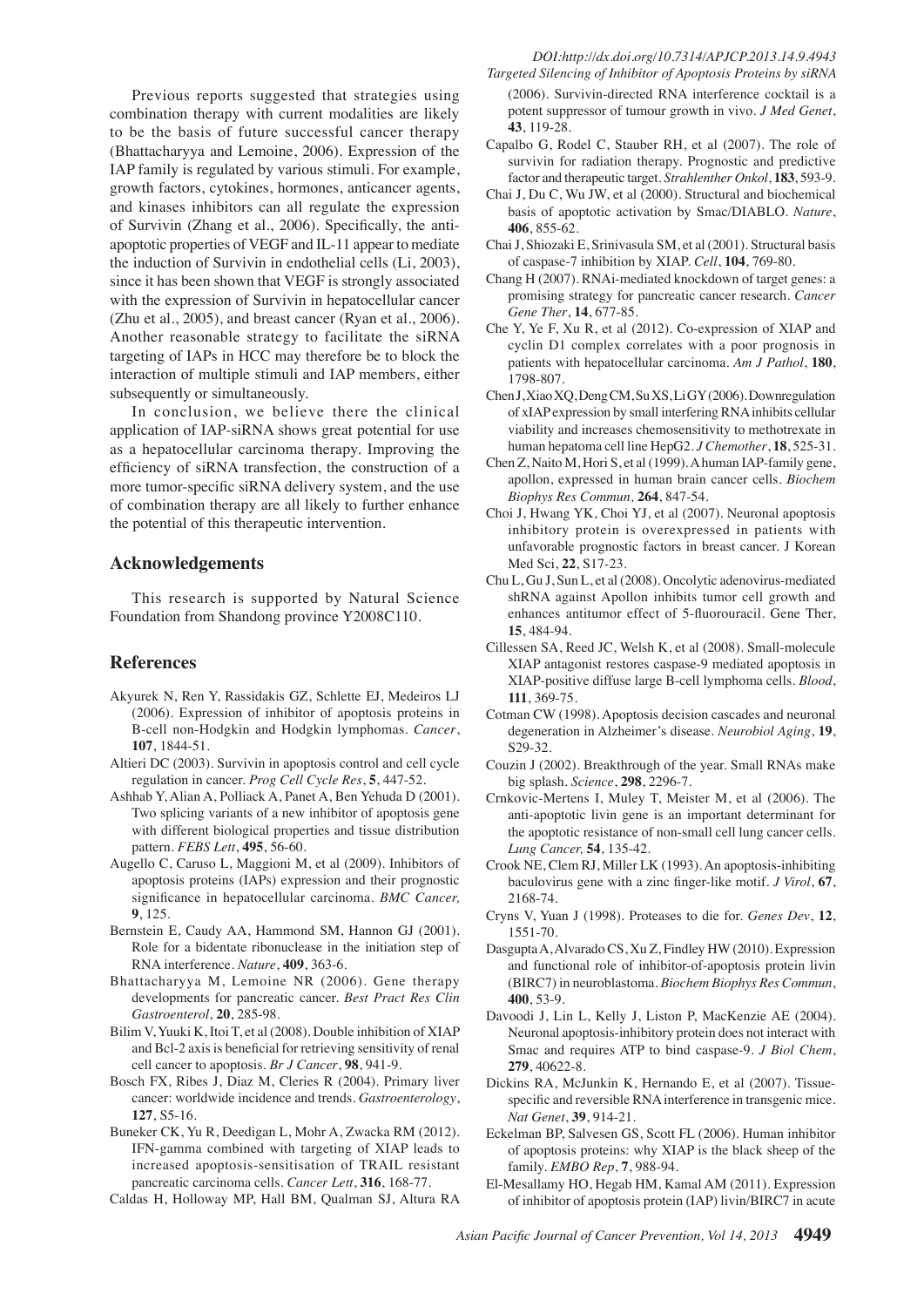Previous reports suggested that strategies using combination therapy with current modalities are likely to be the basis of future successful cancer therapy (Bhattacharyya and Lemoine, 2006). Expression of the IAP family is regulated by various stimuli. For example, growth factors, cytokines, hormones, anticancer agents, and kinases inhibitors can all regulate the expression of Survivin (Zhang et al., 2006). Specifically, the antiapoptotic properties of VEGF and IL-11 appear to mediate the induction of Survivin in endothelial cells (Li, 2003), since it has been shown that VEGF is strongly associated with the expression of Survivin in hepatocellular cancer (Zhu et al., 2005), and breast cancer (Ryan et al., 2006). Another reasonable strategy to facilitate the siRNA targeting of IAPs in HCC may therefore be to block the interaction of multiple stimuli and IAP members, either subsequently or simultaneously.

In conclusion, we believe there the clinical application of IAP-siRNA shows great potential for use as a hepatocellular carcinoma therapy. Improving the efficiency of siRNA transfection, the construction of a more tumor-specific siRNA delivery system, and the use of combination therapy are all likely to further enhance the potential of this therapeutic intervention.

## **Acknowledgements**

This research is supported by Natural Science Foundation from Shandong province Y2008C110.

#### **References**

- Akyurek N, Ren Y, Rassidakis GZ, Schlette EJ, Medeiros LJ (2006). Expression of inhibitor of apoptosis proteins in B-cell non-Hodgkin and Hodgkin lymphomas. Cancer, **107**
- Altieri DC (2003). Survivin in apoptosis control and cell cycle regulation in cancer. *Prog Cell Cycle Res*, **5**, 447-52.
- Ashhab Y, Alian A, Polliack A, Panet A, Ben Yehuda D (2001). Two splicing variants of a new inhibitor of apoptosis gene with different biological properties and tissue distribution pattern. *FEBS Lett*, **495**, 56-60.
- Augello C, Caruso L, Maggioni M, et al (2009). Inhibitors of apoptosis proteins (IAPs) expression and their prognostic significance in hepatocellular carcinoma. BMC Cancer, **9**
- Bernstein E, Caudy AA, Hammond SM, Hannon GJ (2001). Role for a bidentate ribonuclease in the initiation step of RNA interference. *Nature*, **409**, 363-6.
- Bhattacharyya M, Lemoine NR (2006). Gene therapy developments for pancreatic cancer. *Best Pract Res Clin Gastroenterol*,
- Bilim V, Yuuki K, Itoi T, et al (2008). Double inhibition of XIAP and Bcl-2 axis is beneficial for retrieving sensitivity of renal cell cancer to apoptosis. Br J Cancer, 98, 941-9.
- Bosch FX, Ribes J, Diaz M, Cleries R (2004). Primary liver cancer: worldwide incidence and trends. *Gastroenterology*, 127, S5-16.
- Buneker CK, Yu R, Deedigan L, Mohr A, Zwacka RM (2012). IFN-gamma combined with targeting of XIAP leads to increased apoptosis-sensitisation of TRAIL resistant pancreatic carcinoma cells. *Cancer Lett*, 316, 168-77.
- Caldas H, Holloway MP, Hall BM, Qualman SJ, Altura RA
- *Targeted Silencing of Inhibitor of Apoptosis Proteins by siRNA* (2006). Survivin-directed RNA interference cocktail is a potent suppressor of tumour growth in vivo. *J Med Genet*, **43**
- Capalbo G, Rodel C, Stauber RH, et al (2007). The role of survivin for radiation therapy. Prognostic and predictive factor and therapeutic target. *Strahlenther Onkol*, 183, 593-9.
- Chai J, Du C, Wu JW, et al (2000). Structural and biochemical basis of apoptotic activation by Smac/DIABLO. Nature, **406**
- Chai J, Shiozaki E, Srinivasula SM, et al (2001). Structural basis of caspase-7 inhibition by XIAP. Cell, 104, 769-80.
- Chang H (2007). RNAi-mediated knockdown of target genes: a promising strategy for pancreatic cancer research. Cancer Gene Ther, 14, 677-85.
- Che Y, Ye F, Xu R, et al (2012). Co-expression of XIAP and cyclin D1 complex correlates with a poor prognosis in patients with hepatocellular carcinoma. Am J Pathol, 180, 1798-807.
- Chen J, Xiao XQ, Deng CM, Su XS, Li GY (2006). Downregulation of xIAP expression by small interfering RNA inhibits cellular viability and increases chemosensitivity to methotrexate in human hepatoma cell line HepG2. J Chemother, 18, 525-31.
- Chen Z, Naito M, Hori S, et al (1999). A human IAP-family gene, apollon, expressed in human brain cancer cells. *Biochem* Biophys Res Commun, 264, 847-54.
- Choi J, Hwang YK, Choi YJ, et al (2007). Neuronal apoptosis inhibitory protein is overexpressed in patients with unfavorable prognostic factors in breast cancer. J Korean Med Sci, 22, S17-23.
- Chu L, Gu J, Sun L, et al (2008). Oncolytic adenovirus-mediated shRNA against Apollon inhibits tumor cell growth and enhances antitumor effect of 5-fluorouracil. Gene Ther, **15**
- Cillessen SA, Reed JC, Welsh K, et al (2008). Small-molecule XIAP antagonist restores caspase-9 mediated apoptosis in XIAP-positive diffuse large B-cell lymphoma cells. Blood, **111**, 369-75.
- Cotman CW (1998). Apoptosis decision cascades and neuronal degeneration in Alzheimer's disease. Neurobiol Aging, 19, S29-32.
- Couzin J (2002). Breakthrough of the year. Small RNAs make big splash. *Science*, **298**, 2296-7.
- Crnkovic-Mertens I, Muley T, Meister M, et al (2006). The anti-apoptotic livin gene is an important determinant for the apoptotic resistance of non-small cell lung cancer cells. *Lung Cancer*, 54, 135-42.
- Crook NE, Clem RJ, Miller LK (1993). An apoptosis-inhibiting baculovirus gene with a zinc finger-like motif. *J Virol*, **67**, 2168-74.
- Cryns V, Yuan J (1998). Proteases to die for. Genes Dev, 12, 1551-70.
- Dasgupta A, Alvarado CS, Xu Z, Findley HW (2010). Expression and functional role of inhibitor-of-apoptosis protein livin (BIRC7) in neuroblastoma. *Biochem Biophys Res Commun*, **400**, 53-9.
- Davoodi J, Lin L, Kelly J, Liston P, MacKenzie AE (2004). Neuronal apoptosis-inhibitory protein does not interact with Smac and requires ATP to bind caspase-9. *J Biol Chem*, 279.40622-8.
- Dickins RA, McJunkin K, Hernando E, et al (2007). Tissuespecific and reversible RNA interference in transgenic mice. *Nat Genet*, **39**
- Eckelman BP, Salvesen GS, Scott FL (2006). Human inhibitor of apoptosis proteins: why XIAP is the black sheep of the family. *EMBO Rep*, **7**, 988-94.
- El-Mesallamy HO, Hegab HM, Kamal AM (2011). Expression of inhibitor of apoptosis protein (IAP) livin/BIRC7 in acute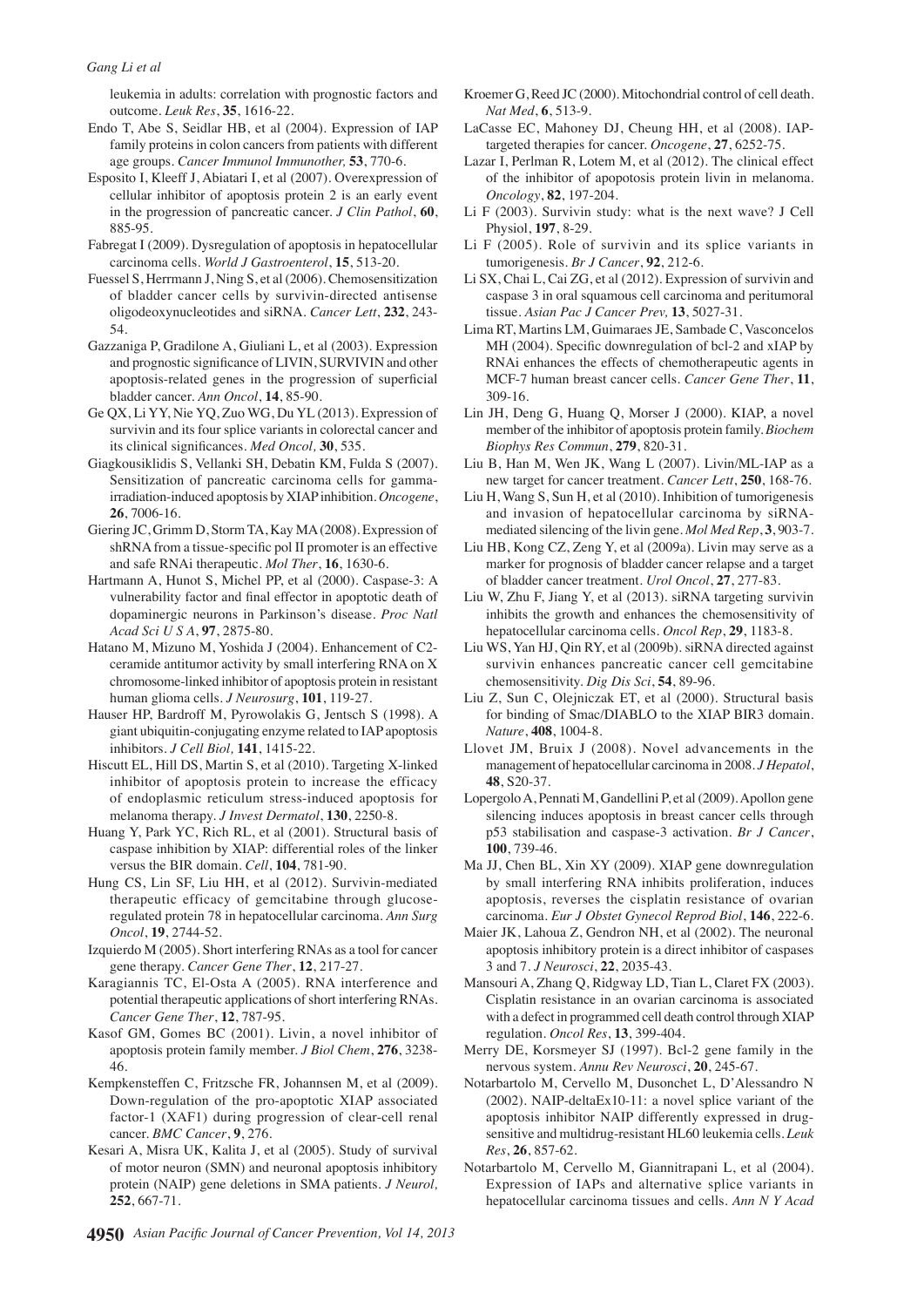leukemia in adults: correlation with prognostic factors and outcome. Leuk Res, 35, 1616-22.

- Endo T, Abe S, Seidlar HB, et al (2004). Expression of IAP family proteins in colon cancers from patients with different age groups. Cancer Immunol Immunother, 53, 770-6.
- Esposito I, Kleeff J, Abiatari I, et al (2007). Overexpression of cellular inhibitor of apoptosis protein 2 is an early event in the progression of pancreatic cancer. J Clin Pathol, 60, 885-95.
- Fabregat I (2009). Dysregulation of apoptosis in hepatocellular carcinoma cells. World J Gastroenterol, 15, 513-20.
- Fuessel S, Herrmann J, Ning S, et al (2006). Chemosensitization of bladder cancer cells by survivin-directed antisense oligodeoxynucleotides and siRNA. Cancer Lett, 232, 243-54.
- Gazzaniga P, Gradilone A, Giuliani L, et al (2003). Expression and prognostic significance of LIVIN, SURVIVIN and other apoptosis-related genes in the progression of superficial bladder cancer. Ann Oncol, 14, 85-90.
- Ge QX, Li YY, Nie YQ, Zuo WG, Du YL (2013). Expression of survivin and its four splice variants in colorectal cancer and its clinical significances. Med Oncol, 30, 535.
- Giagkousiklidis S, Vellanki SH, Debatin KM, Fulda S (2007). Sensitization of pancreatic carcinoma cells for gammairradiation-induced apoptosis by XIAP inhibition. Oncogene,  $26.7006 - 16.$
- Giering JC, Grimm D, Storm TA, Kay MA (2008). Expression of shRNA from a tissue-specific pol II promoter is an effective and safe RNAi therapeutic. Mol Ther, 16, 1630-6.
- Hartmann A, Hunot S, Michel PP, et al (2000). Caspase-3: A vulnerability factor and final effector in apoptotic death of dopaminergic neurons in Parkinson's disease. Proc Natl Acad Sci U S A, 97, 2875-80.
- Hatano M, Mizuno M, Yoshida J (2004). Enhancement of C2ceramide antitumor activity by small interfering RNA on X chromosome-linked inhibitor of apoptosis protein in resistant human glioma cells. J Neurosurg, 101, 119-27.
- Hauser HP, Bardroff M, Pyrowolakis G, Jentsch S (1998). A giant ubiquitin-conjugating enzyme related to IAP apoptosis inhibitors. J Cell Biol, 141, 1415-22.
- Hiscutt EL, Hill DS, Martin S, et al (2010). Targeting X-linked inhibitor of apoptosis protein to increase the efficacy of endoplasmic reticulum stress-induced apoptosis for melanoma therapy. J Invest Dermatol, 130, 2250-8.
- Huang Y, Park YC, Rich RL, et al (2001). Structural basis of caspase inhibition by XIAP: differential roles of the linker versus the BIR domain. Cell, 104, 781-90.
- Hung CS, Lin SF, Liu HH, et al (2012). Survivin-mediated therapeutic efficacy of gemcitabine through glucoseregulated protein 78 in hepatocellular carcinoma. Ann Surg Oncol. 19, 2744-52.
- Izquierdo M (2005). Short interfering RNAs as a tool for cancer gene therapy. Cancer Gene Ther, 12, 217-27.
- Karagiannis TC, El-Osta A (2005). RNA interference and potential therapeutic applications of short interfering RNAs. Cancer Gene Ther, 12, 787-95.
- Kasof GM, Gomes BC (2001). Livin, a novel inhibitor of apoptosis protein family member. J Biol Chem, 276, 3238-46.
- Kempkensteffen C, Fritzsche FR, Johannsen M, et al (2009). Down-regulation of the pro-apoptotic XIAP associated factor-1 (XAF1) during progression of clear-cell renal cancer. BMC Cancer. 9, 276.
- Kesari A, Misra UK, Kalita J, et al (2005). Study of survival of motor neuron (SMN) and neuronal apoptosis inhibitory protein (NAIP) gene deletions in SMA patients. *J Neurol*, 252, 667-71.
- 4950 Asian Pacific Journal of Cancer Prevention, Vol 14, 2013
- Kroemer G, Reed JC (2000). Mitochondrial control of cell death. Nat Med, 6, 513-9.
- LaCasse EC, Mahoney DJ, Cheung HH, et al (2008). IAPtargeted therapies for cancer. Oncogene, 27, 6252-75.
- Lazar I, Perlman R, Lotem M, et al (2012). The clinical effect of the inhibitor of apopotosis protein livin in melanoma. Oncology, 82, 197-204.
- Li F (2003). Survivin study: what is the next wave? J Cell Physiol, 197, 8-29.
- Li F (2005). Role of survivin and its splice variants in tumorigenesis. Br J Cancer, 92, 212-6.
- Li SX, Chai L, Cai ZG, et al (2012). Expression of survivin and caspase 3 in oral squamous cell carcinoma and peritumoral tissue. Asian Pac J Cancer Prev, 13, 5027-31.
- Lima RT, Martins LM, Guimaraes JE, Sambade C, Vasconcelos MH (2004). Specific downregulation of bcl-2 and xIAP by RNAi enhances the effects of chemotherapeutic agents in MCF-7 human breast cancer cells. Cancer Gene Ther, 11, 309-16.
- Lin JH, Deng G, Huang Q, Morser J (2000). KIAP, a novel member of the inhibitor of apoptosis protein family. Biochem Biophys Res Commun, 279, 820-31.
- Liu B, Han M, Wen JK, Wang L (2007). Livin/ML-IAP as a new target for cancer treatment. Cancer Lett, 250, 168-76.
- Liu H, Wang S, Sun H, et al (2010). Inhibition of tumorigenesis and invasion of hepatocellular carcinoma by siRNAmediated silencing of the livin gene. Mol Med Rep, 3, 903-7.
- Liu HB, Kong CZ, Zeng Y, et al (2009a). Livin may serve as a marker for prognosis of bladder cancer relapse and a target of bladder cancer treatment. Urol Oncol, 27, 277-83.
- Liu W, Zhu F, Jiang Y, et al (2013). siRNA targeting survivin inhibits the growth and enhances the chemosensitivity of hepatocellular carcinoma cells. Oncol Rep, 29, 1183-8.
- Liu WS, Yan HJ, Qin RY, et al (2009b). siRNA directed against survivin enhances pancreatic cancer cell gemcitabine chemosensitivity. Dig Dis Sci, 54, 89-96.
- Liu Z, Sun C, Olejniczak ET, et al (2000). Structural basis for binding of Smac/DIABLO to the XIAP BIR3 domain. Nature, 408, 1004-8.
- Llovet JM, Bruix J (2008). Novel advancements in the management of hepatocellular carcinoma in 2008. J Hepatol, 48. S20-37.
- Lopergolo A, Pennati M, Gandellini P, et al (2009). Apollon gene silencing induces apoptosis in breast cancer cells through p53 stabilisation and caspase-3 activation. Br J Cancer, 100, 739-46.
- Ma JJ, Chen BL, Xin XY (2009). XIAP gene downregulation by small interfering RNA inhibits proliferation, induces apoptosis, reverses the cisplatin resistance of ovarian carcinoma. Eur J Obstet Gynecol Reprod Biol, 146, 222-6.
- Maier JK, Lahoua Z, Gendron NH, et al (2002). The neuronal apoptosis inhibitory protein is a direct inhibitor of caspases 3 and 7. J Neurosci, 22, 2035-43.
- Mansouri A, Zhang Q, Ridgway LD, Tian L, Claret FX (2003). Cisplatin resistance in an ovarian carcinoma is associated with a defect in programmed cell death control through XIAP regulation. Oncol Res, 13, 399-404.
- Merry DE, Korsmeyer SJ (1997). Bcl-2 gene family in the nervous system. Annu Rev Neurosci, 20, 245-67.
- Notarbartolo M, Cervello M, Dusonchet L, D'Alessandro N (2002). NAIP-deltaEx10-11: a novel splice variant of the apoptosis inhibitor NAIP differently expressed in drugsensitive and multidrug-resistant HL60 leukemia cells. Leuk Res. 26, 857-62.
- Notarbartolo M, Cervello M, Giannitrapani L, et al (2004). Expression of IAPs and alternative splice variants in hepatocellular carcinoma tissues and cells. Ann N Y Acad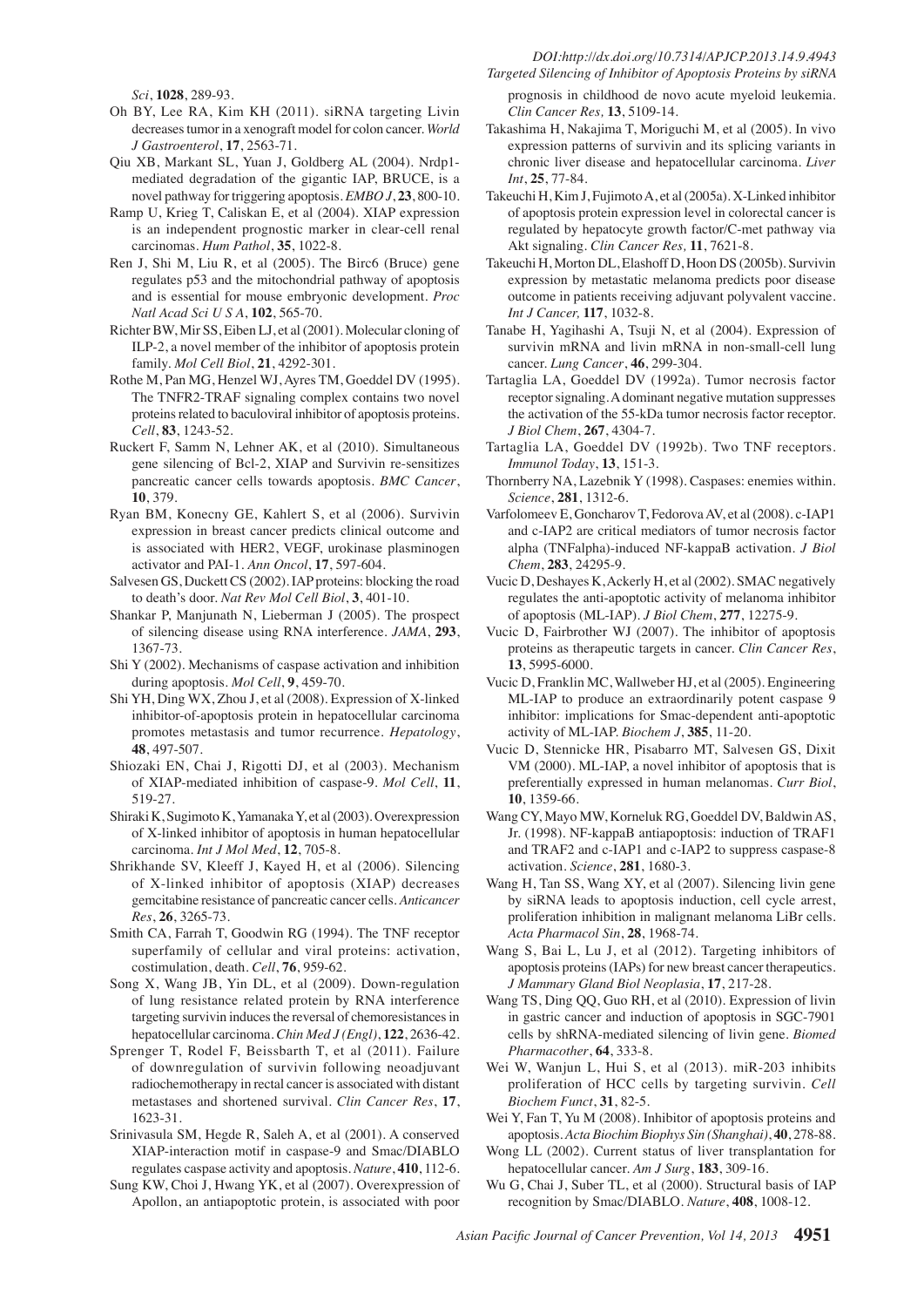#### DOI:http://dx.doi.org/10.7314/APJCP.2013.14.9.4943 Targeted Silencing of Inhibitor of Apoptosis Proteins by siRNA

Sci, 1028, 289-93.

- Oh BY, Lee RA, Kim KH (2011). siRNA targeting Livin decreases tumor in a xenograft model for colon cancer. World J Gastroenterol, 17, 2563-71.
- Qiu XB, Markant SL, Yuan J, Goldberg AL (2004). Nrdp1mediated degradation of the gigantic IAP, BRUCE, is a novel pathway for triggering apoptosis. EMBO J, 23, 800-10.
- Ramp U, Krieg T, Caliskan E, et al (2004). XIAP expression is an independent prognostic marker in clear-cell renal carcinomas. Hum Pathol, 35, 1022-8.
- Ren J, Shi M, Liu R, et al (2005). The Birc6 (Bruce) gene regulates p53 and the mitochondrial pathway of apoptosis and is essential for mouse embryonic development. Proc Natl Acad Sci U S A, 102, 565-70.
- Richter BW, Mir SS, Eiben LJ, et al (2001). Molecular cloning of ILP-2, a novel member of the inhibitor of apoptosis protein family. Mol Cell Biol, 21, 4292-301.
- Rothe M, Pan MG, Henzel WJ, Ayres TM, Goeddel DV (1995). The TNFR2-TRAF signaling complex contains two novel proteins related to baculoviral inhibitor of apoptosis proteins. Cell, 83, 1243-52.
- Ruckert F, Samm N, Lehner AK, et al (2010). Simultaneous gene silencing of Bcl-2, XIAP and Survivin re-sensitizes pancreatic cancer cells towards apoptosis. BMC Cancer, 10, 379.
- Ryan BM, Konecny GE, Kahlert S, et al (2006). Survivin expression in breast cancer predicts clinical outcome and is associated with HER2, VEGF, urokinase plasminogen activator and PAI-1. Ann Oncol, 17, 597-604.
- Salvesen GS, Duckett CS (2002). IAP proteins: blocking the road to death's door. Nat Rev Mol Cell Biol, 3, 401-10.
- Shankar P, Manjunath N, Lieberman J (2005). The prospect of silencing disease using RNA interference. JAMA, 293, 1367-73.
- Shi Y (2002). Mechanisms of caspase activation and inhibition during apoptosis. Mol Cell, 9, 459-70.
- Shi YH, Ding WX, Zhou J, et al (2008). Expression of X-linked inhibitor-of-apoptosis protein in hepatocellular carcinoma promotes metastasis and tumor recurrence. Hepatology, 48, 497-507.
- Shiozaki EN, Chai J, Rigotti DJ, et al (2003). Mechanism of XIAP-mediated inhibition of caspase-9. Mol Cell, 11, 519-27.
- Shiraki K, Sugimoto K, Yamanaka Y, et al (2003). Overexpression of X-linked inhibitor of apoptosis in human hepatocellular carcinoma. Int J Mol Med, 12, 705-8.
- Shrikhande SV, Kleeff J, Kayed H, et al (2006). Silencing of X-linked inhibitor of apoptosis (XIAP) decreases gemcitabine resistance of pancreatic cancer cells. Anticancer Res, 26, 3265-73.
- Smith CA, Farrah T, Goodwin RG (1994). The TNF receptor superfamily of cellular and viral proteins: activation, costimulation, death. Cell, 76, 959-62.
- Song X, Wang JB, Yin DL, et al (2009). Down-regulation of lung resistance related protein by RNA interference targeting survivin induces the reversal of chemoresistances in hepatocellular carcinoma. Chin Med J (Engl), 122, 2636-42.
- Sprenger T, Rodel F, Beissbarth T, et al (2011). Failure of downregulation of survivin following neoadjuvant radiochemotherapy in rectal cancer is associated with distant metastases and shortened survival. Clin Cancer Res, 17, 1623-31.
- Srinivasula SM, Hegde R, Saleh A, et al (2001). A conserved XIAP-interaction motif in caspase-9 and Smac/DIABLO regulates caspase activity and apoptosis. Nature, 410, 112-6.
- Sung KW, Choi J, Hwang YK, et al (2007). Overexpression of Apollon, an antiapoptotic protein, is associated with poor
- prognosis in childhood de novo acute myeloid leukemia. Clin Cancer Res, 13, 5109-14.
- Takashima H, Nakajima T, Moriguchi M, et al (2005). In vivo expression patterns of survivin and its splicing variants in chronic liver disease and hepatocellular carcinoma. Liver Int. 25, 77-84.
- Takeuchi H, Kim J, Fujimoto A, et al (2005a). X-Linked inhibitor of apoptosis protein expression level in colorectal cancer is regulated by hepatocyte growth factor/C-met pathway via Akt signaling. Clin Cancer Res, 11, 7621-8.
- Takeuchi H, Morton DL, Elashoff D, Hoon DS (2005b). Survivin expression by metastatic melanoma predicts poor disease outcome in patients receiving adjuvant polyvalent vaccine. Int J Cancer, 117, 1032-8.
- Tanabe H, Yagihashi A, Tsuji N, et al (2004). Expression of survivin mRNA and livin mRNA in non-small-cell lung cancer. Lung Cancer, 46, 299-304.
- Tartaglia LA, Goeddel DV (1992a). Tumor necrosis factor receptor signaling. A dominant negative mutation suppresses the activation of the 55-kDa tumor necrosis factor receptor. J Biol Chem, 267, 4304-7.
- Tartaglia LA, Goeddel DV (1992b). Two TNF receptors. Immunol Today, 13, 151-3.
- Thornberry NA, Lazebnik Y (1998). Caspases: enemies within. Science, 281, 1312-6.
- Varfolomeev E, Goncharov T, Fedorova AV, et al (2008). c-IAP1 and c-IAP2 are critical mediators of tumor necrosis factor alpha (TNFalpha)-induced NF-kappaB activation. J Biol Chem, 283, 24295-9.
- Vucic D, Deshayes K, Ackerly H, et al (2002). SMAC negatively regulates the anti-apoptotic activity of melanoma inhibitor of apoptosis (ML-IAP). J Biol Chem, 277, 12275-9.
- Vucic D, Fairbrother WJ (2007). The inhibitor of apoptosis proteins as therapeutic targets in cancer. Clin Cancer Res, 13, 5995-6000.
- Vucic D, Franklin MC, Wallweber HJ, et al (2005). Engineering ML-IAP to produce an extraordinarily potent caspase 9 inhibitor: implications for Smac-dependent anti-apoptotic activity of ML-IAP. Biochem J, 385, 11-20.
- Vucic D, Stennicke HR, Pisabarro MT, Salvesen GS, Dixit VM (2000). ML-IAP, a novel inhibitor of apoptosis that is preferentially expressed in human melanomas. Curr Biol, 10, 1359-66.
- Wang CY, Mayo MW, Korneluk RG, Goeddel DV, Baldwin AS, Jr. (1998). NF-kappaB antiapoptosis: induction of TRAF1 and TRAF2 and c-IAP1 and c-IAP2 to suppress caspase-8 activation. Science, 281, 1680-3.
- Wang H, Tan SS, Wang XY, et al (2007). Silencing livin gene by siRNA leads to apoptosis induction, cell cycle arrest, proliferation inhibition in malignant melanoma LiBr cells. Acta Pharmacol Sin, 28, 1968-74.
- Wang S, Bai L, Lu J, et al (2012). Targeting inhibitors of apoptosis proteins (IAPs) for new breast cancer therapeutics. J Mammary Gland Biol Neoplasia, 17, 217-28.
- Wang TS, Ding QQ, Guo RH, et al (2010). Expression of livin in gastric cancer and induction of apoptosis in SGC-7901 cells by shRNA-mediated silencing of livin gene. Biomed Pharmacother, 64, 333-8.
- Wei W, Wanjun L, Hui S, et al (2013). miR-203 inhibits proliferation of HCC cells by targeting survivin. Cell Biochem Funct, 31, 82-5.
- Wei Y, Fan T, Yu M (2008). Inhibitor of apoptosis proteins and apoptosis. Acta Biochim Biophys Sin (Shanghai), 40, 278-88.
- Wong LL (2002). Current status of liver transplantation for hepatocellular cancer. Am J Surg, 183, 309-16.
- Wu G, Chai J, Suber TL, et al (2000). Structural basis of IAP recognition by Smac/DIABLO. Nature, 408, 1008-12.